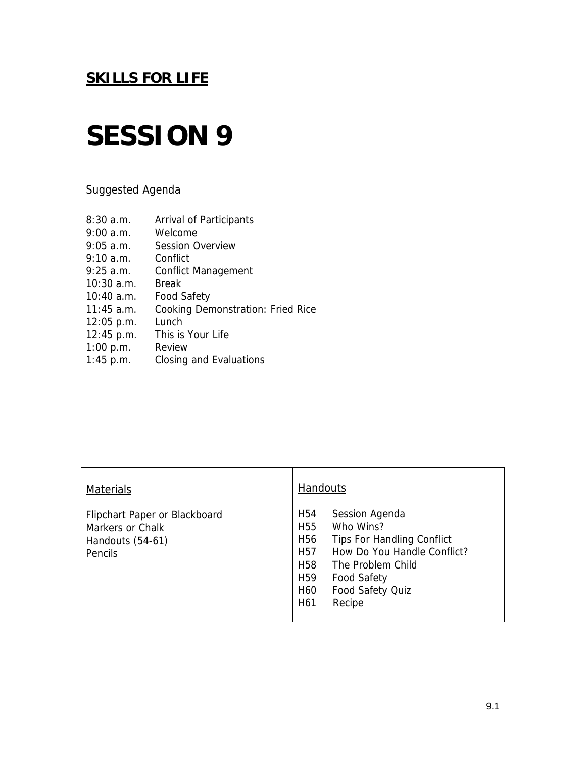## **SESSION 9**

### Suggested Agenda

| Arrival of Participants                  |
|------------------------------------------|
| Welcome                                  |
| <b>Session Overview</b>                  |
| Conflict                                 |
| <b>Conflict Management</b>               |
| Break                                    |
| <b>Food Safety</b>                       |
| <b>Cooking Demonstration: Fried Rice</b> |
| Lunch                                    |
| This is Your Life                        |
| Review                                   |
| Closing and Evaluations                  |
|                                          |

| <b>Materials</b>                                                                        | <b>Handouts</b>                                                                                                                                                                                                                                                                                                                   |  |
|-----------------------------------------------------------------------------------------|-----------------------------------------------------------------------------------------------------------------------------------------------------------------------------------------------------------------------------------------------------------------------------------------------------------------------------------|--|
| Flipchart Paper or Blackboard<br>Markers or Chalk<br>Handouts (54-61)<br><b>Pencils</b> | H <sub>54</sub><br>Session Agenda<br>Who Wins?<br>H <sub>55</sub><br>H <sub>56</sub><br><b>Tips For Handling Conflict</b><br>How Do You Handle Conflict?<br>H <sub>57</sub><br>H <sub>58</sub><br>The Problem Child<br>H <sub>59</sub><br><b>Food Safety</b><br>Food Safety Quiz<br>H <sub>60</sub><br>H <sub>6</sub> 1<br>Recipe |  |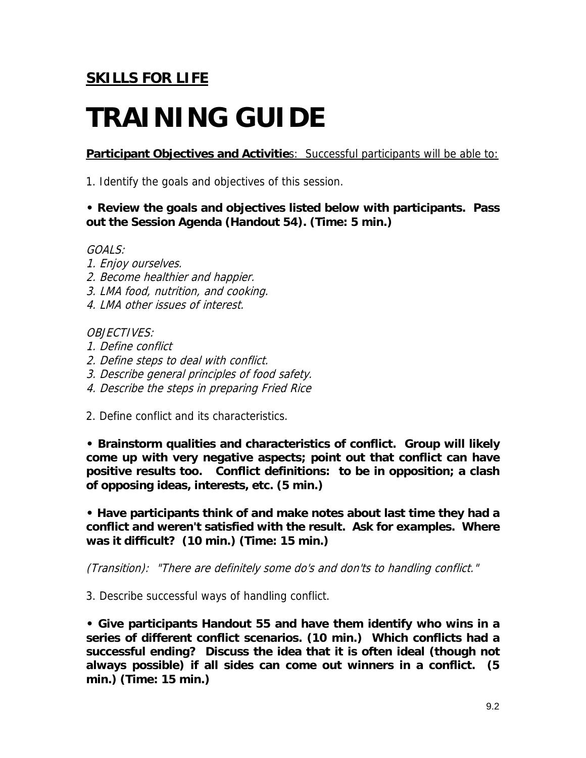# **TRAINING GUIDE**

**Participant Objectives and Activities: Successful participants will be able to:** 

1. Identify the goals and objectives of this session.

### **• Review the goals and objectives listed below with participants. Pass out the Session Agenda (Handout 54). (Time: 5 min.)**

### GOALS:

- 1. Enjoy ourselves.
- 2. Become healthier and happier.
- 3. LMA food, nutrition, and cooking.
- 4. LMA other issues of interest.

### OBJECTIVES:

- 1. Define conflict
- 2. Define steps to deal with conflict.
- 3. Describe general principles of food safety.
- 4. Describe the steps in preparing Fried Rice
- 2. Define conflict and its characteristics.

**• Brainstorm qualities and characteristics of conflict. Group will likely come up with very negative aspects; point out that conflict can have positive results too. Conflict definitions: to be in opposition; a clash of opposing ideas, interests, etc. (5 min.)** 

**• Have participants think of and make notes about last time they had a conflict and weren't satisfied with the result. Ask for examples. Where was it difficult? (10 min.) (Time: 15 min.)** 

(Transition): "There are definitely some do's and don'ts to handling conflict."

3. Describe successful ways of handling conflict.

**• Give participants Handout 55 and have them identify who wins in a series of different conflict scenarios. (10 min.) Which conflicts had a successful ending? Discuss the idea that it is often ideal (though not always possible) if all sides can come out winners in a conflict. (5 min.) (Time: 15 min.)**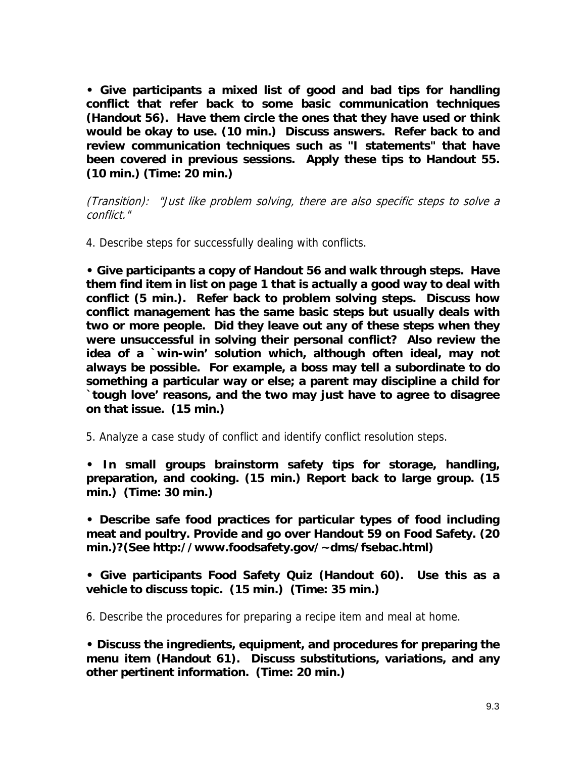**• Give participants a mixed list of good and bad tips for handling conflict that refer back to some basic communication techniques (Handout 56). Have them circle the ones that they have used or think would be okay to use. (10 min.) Discuss answers. Refer back to and review communication techniques such as "I statements" that have been covered in previous sessions. Apply these tips to Handout 55. (10 min.) (Time: 20 min.)** 

(Transition): "Just like problem solving, there are also specific steps to solve a conflict."

4. Describe steps for successfully dealing with conflicts.

**• Give participants a copy of Handout 56 and walk through steps. Have them find item in list on page 1 that is actually a good way to deal with conflict (5 min.). Refer back to problem solving steps. Discuss how conflict management has the same basic steps but usually deals with two or more people. Did they leave out any of these steps when they were unsuccessful in solving their personal conflict? Also review the idea of a `win-win' solution which, although often ideal, may not always be possible. For example, a boss may tell a subordinate to do something a particular way or else; a parent may discipline a child for `tough love' reasons, and the two may just have to agree to disagree on that issue. (15 min.)** 

5. Analyze a case study of conflict and identify conflict resolution steps.

**• In small groups brainstorm safety tips for storage, handling, preparation, and cooking. (15 min.) Report back to large group. (15 min.) (Time: 30 min.)** 

**• Describe safe food practices for particular types of food including meat and poultry. Provide and go over Handout 59 on Food Safety. (20 min.)?(See http://www.foodsafety.gov/~dms/fsebac.html)** 

**• Give participants Food Safety Quiz (Handout 60). Use this as a vehicle to discuss topic. (15 min.) (Time: 35 min.)** 

6. Describe the procedures for preparing a recipe item and meal at home.

**• Discuss the ingredients, equipment, and procedures for preparing the menu item (Handout 61). Discuss substitutions, variations, and any other pertinent information. (Time: 20 min.)**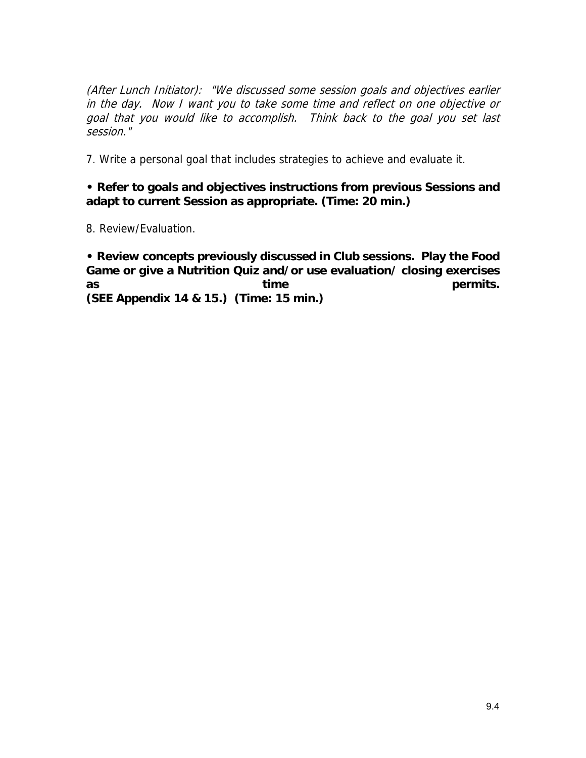(After Lunch Initiator): "We discussed some session goals and objectives earlier in the day. Now I want you to take some time and reflect on one objective or goal that you would like to accomplish. Think back to the goal you set last session."

7. Write a personal goal that includes strategies to achieve and evaluate it.

### **• Refer to goals and objectives instructions from previous Sessions and adapt to current Session as appropriate. (Time: 20 min.)**

8. Review/Evaluation.

**• Review concepts previously discussed in Club sessions. Play the Food Game or give a Nutrition Quiz and/or use evaluation/ closing exercises**  as time **time permits**. **(SEE Appendix 14 & 15.) (Time: 15 min.)**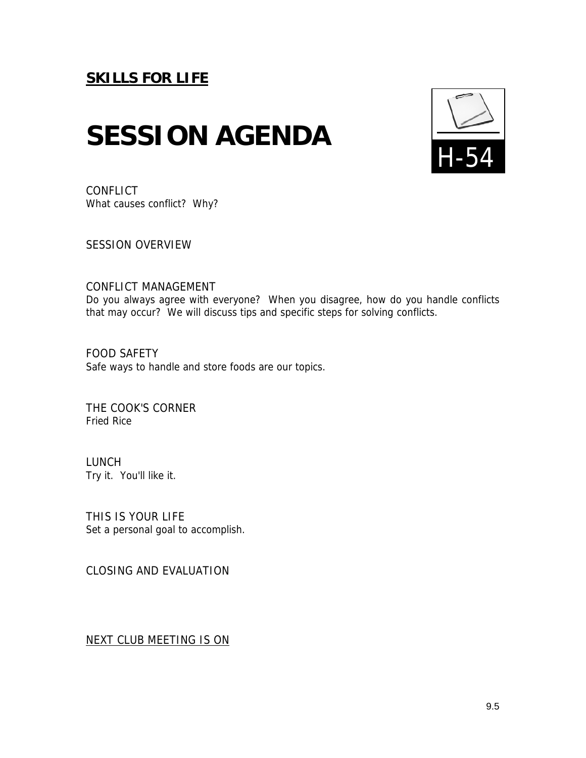# **SESSION AGENDA**



**CONFLICT** What causes conflict? Why?

SESSION OVERVIEW

### CONFLICT MANAGEMENT

Do you always agree with everyone? When you disagree, how do you handle conflicts that may occur? We will discuss tips and specific steps for solving conflicts.

FOOD SAFETY Safe ways to handle and store foods are our topics.

THE COOK'S CORNER Fried Rice

LUNCH Try it. You'll like it.

THIS IS YOUR LIFE Set a personal goal to accomplish.

CLOSING AND EVALUATION

NEXT CLUB MEETING IS ON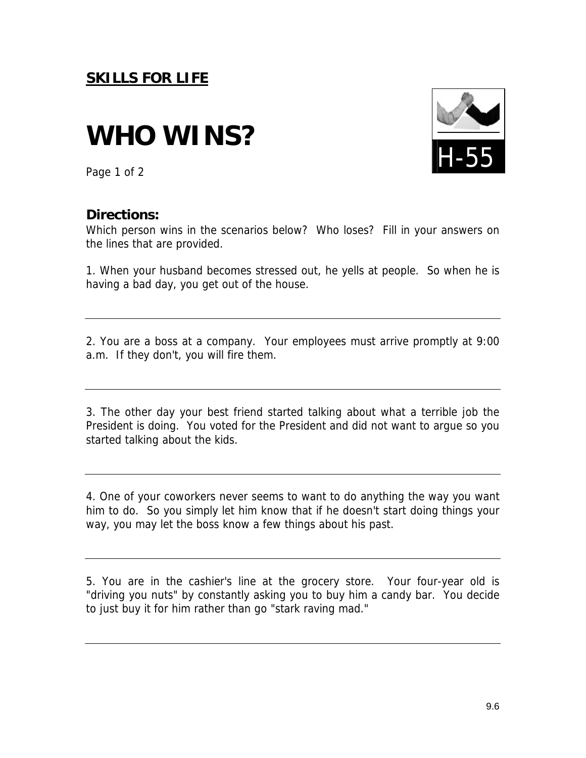# **WHO WINS?**



Page 1 of 2

### **Directions:**

Which person wins in the scenarios below? Who loses? Fill in your answers on the lines that are provided.

1. When your husband becomes stressed out, he yells at people. So when he is having a bad day, you get out of the house.

2. You are a boss at a company. Your employees must arrive promptly at 9:00 a.m. If they don't, you will fire them.

3. The other day your best friend started talking about what a terrible job the President is doing. You voted for the President and did not want to argue so you started talking about the kids.

4. One of your coworkers never seems to want to do anything the way you want him to do. So you simply let him know that if he doesn't start doing things your way, you may let the boss know a few things about his past.

5. You are in the cashier's line at the grocery store. Your four-year old is "driving you nuts" by constantly asking you to buy him a candy bar. You decide to just buy it for him rather than go "stark raving mad."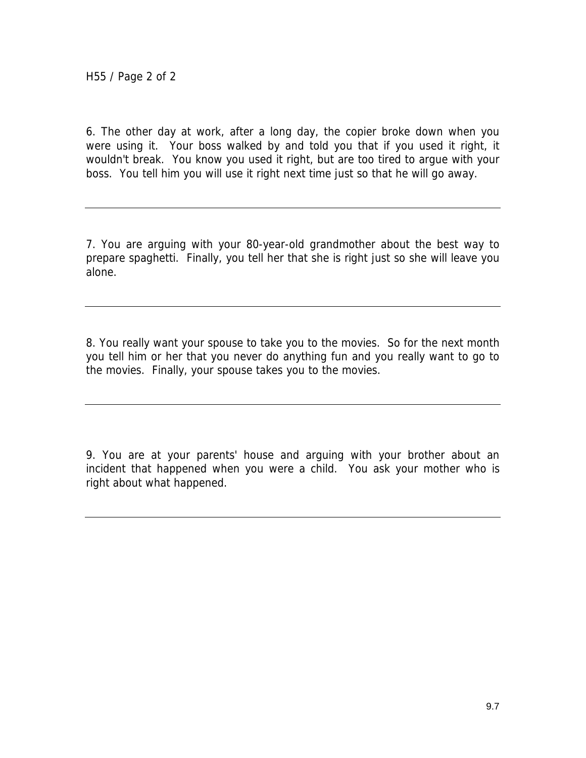6. The other day at work, after a long day, the copier broke down when you were using it. Your boss walked by and told you that if you used it right, it wouldn't break. You know you used it right, but are too tired to argue with your boss. You tell him you will use it right next time just so that he will go away.

7. You are arguing with your 80-year-old grandmother about the best way to prepare spaghetti. Finally, you tell her that she is right just so she will leave you alone.

8. You really want your spouse to take you to the movies. So for the next month you tell him or her that you never do anything fun and you really want to go to the movies. Finally, your spouse takes you to the movies.

9. You are at your parents' house and arguing with your brother about an incident that happened when you were a child. You ask your mother who is right about what happened.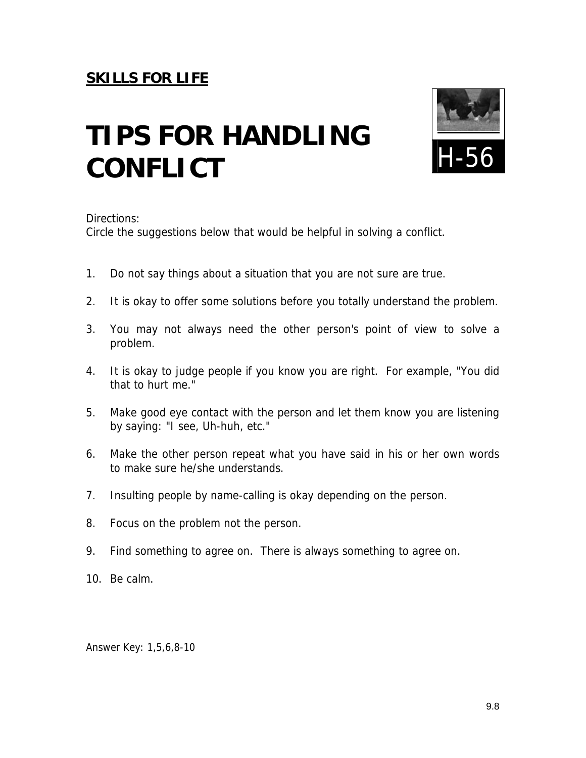# **TIPS FOR HANDLING CONFLICT**



Directions:

Circle the suggestions below that would be helpful in solving a conflict.

- 1. Do not say things about a situation that you are not sure are true.
- 2. It is okay to offer some solutions before you totally understand the problem.
- 3. You may not always need the other person's point of view to solve a problem.
- 4. It is okay to judge people if you know you are right. For example, "You did that to hurt me."
- 5. Make good eye contact with the person and let them know you are listening by saying: "I see, Uh-huh, etc."
- 6. Make the other person repeat what you have said in his or her own words to make sure he/she understands.
- 7. Insulting people by name-calling is okay depending on the person.
- 8. Focus on the problem not the person.
- 9. Find something to agree on. There is always something to agree on.
- 10. Be calm.

Answer Key: 1,5,6,8-10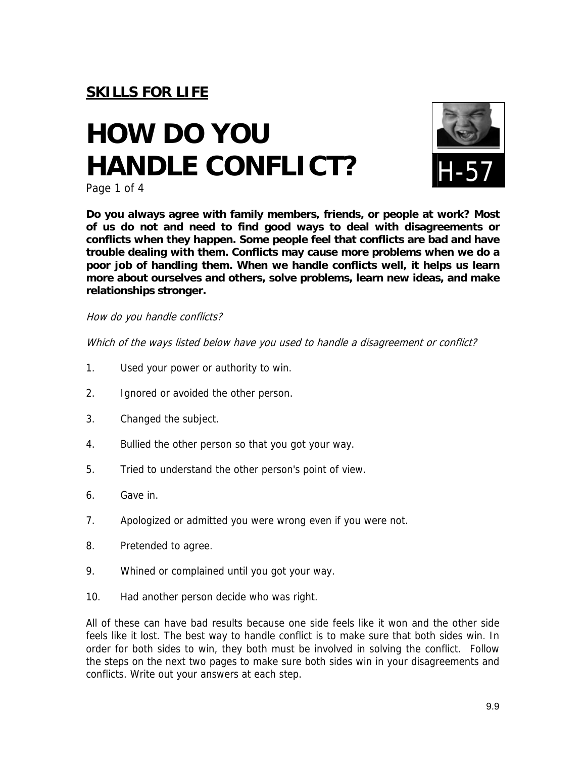# **HOW DO YOU HANDLE CONFLICT?**



Page 1 of 4

**Do you always agree with family members, friends, or people at work? Most of us do not and need to find good ways to deal with disagreements or conflicts when they happen. Some people feel that conflicts are bad and have trouble dealing with them. Conflicts may cause more problems when we do a poor job of handling them. When we handle conflicts well, it helps us learn more about ourselves and others, solve problems, learn new ideas, and make relationships stronger.** 

How do you handle conflicts?

Which of the ways listed below have you used to handle a disagreement or conflict?

- 1. Used your power or authority to win.
- 2. Ignored or avoided the other person.
- 3. Changed the subject.
- 4. Bullied the other person so that you got your way.
- 5. Tried to understand the other person's point of view.
- 6. Gave in.
- 7. Apologized or admitted you were wrong even if you were not.
- 8. Pretended to agree.
- 9. Whined or complained until you got your way.
- 10. Had another person decide who was right.

All of these can have bad results because one side feels like it won and the other side feels like it lost. The best way to handle conflict is to make sure that both sides win. In order for both sides to win, they both must be involved in solving the conflict. Follow the steps on the next two pages to make sure both sides win in your disagreements and conflicts. Write out your answers at each step.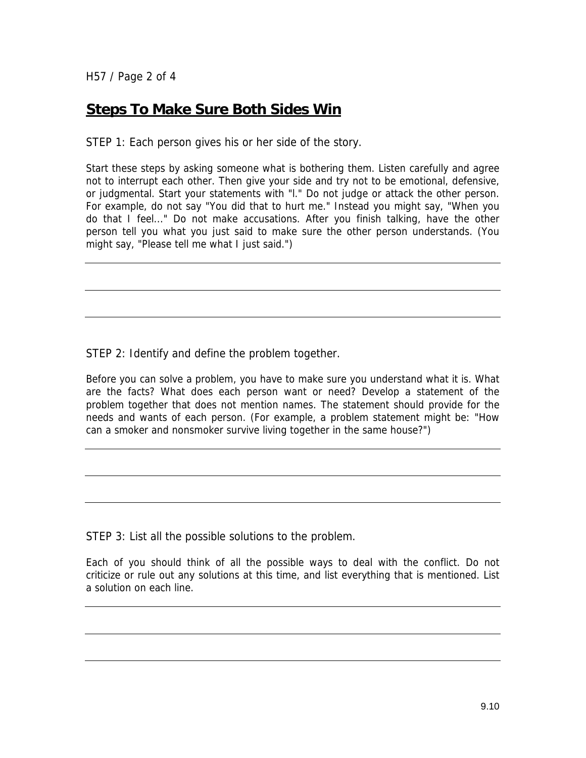H57 / Page 2 of 4

### **Steps To Make Sure Both Sides Win**

STEP 1: Each person gives his or her side of the story.

Start these steps by asking someone what is bothering them. Listen carefully and agree not to interrupt each other. Then give your side and try not to be emotional, defensive, or judgmental. Start your statements with "l." Do not judge or attack the other person. For example, do not say "You did that to hurt me." Instead you might say, "When you do that I feel..." Do not make accusations. After you finish talking, have the other person tell you what you just said to make sure the other person understands. (You might say, "Please tell me what I just said.")

STEP 2: Identify and define the problem together.

Before you can solve a problem, you have to make sure you understand what it is. What are the facts? What does each person want or need? Develop a statement of the problem together that does not mention names. The statement should provide for the needs and wants of each person. (For example, a problem statement might be: "How can a smoker and nonsmoker survive living together in the same house?")

STEP 3: List all the possible solutions to the problem.

Each of you should think of all the possible ways to deal with the conflict. Do not criticize or rule out any solutions at this time, and list everything that is mentioned. List a solution on each line.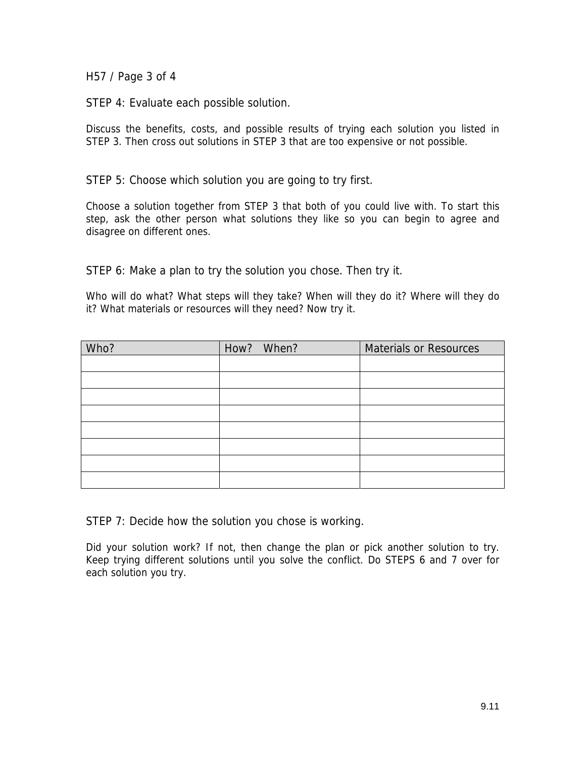H57 / Page 3 of 4

STEP 4: Evaluate each possible solution.

Discuss the benefits, costs, and possible results of trying each solution you listed in STEP 3. Then cross out solutions in STEP 3 that are too expensive or not possible.

STEP 5: Choose which solution you are going to try first.

Choose a solution together from STEP 3 that both of you could live with. To start this step, ask the other person what solutions they like so you can begin to agree and disagree on different ones.

STEP 6: Make a plan to try the solution you chose. Then try it.

Who will do what? What steps will they take? When will they do it? Where will they do it? What materials or resources will they need? Now try it.

| Who? | How? When? | <b>Materials or Resources</b> |
|------|------------|-------------------------------|
|      |            |                               |
|      |            |                               |
|      |            |                               |
|      |            |                               |
|      |            |                               |
|      |            |                               |
|      |            |                               |
|      |            |                               |

STEP 7: Decide how the solution you chose is working.

Did your solution work? If not, then change the plan or pick another solution to try. Keep trying different solutions until you solve the conflict. Do STEPS 6 and 7 over for each solution you try.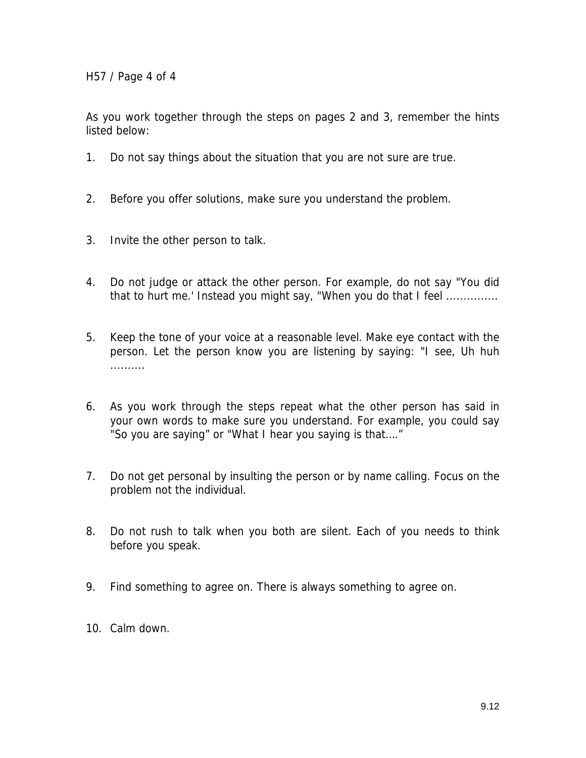H57 / Page 4 of 4

As you work together through the steps on pages 2 and 3, remember the hints listed below:

- 1. Do not say things about the situation that you are not sure are true.
- 2. Before you offer solutions, make sure you understand the problem.
- 3. Invite the other person to talk.
- 4. Do not judge or attack the other person. For example, do not say "You did that to hurt me.' Instead you might say, "When you do that I feel ...............
- 5. Keep the tone of your voice at a reasonable level. Make eye contact with the person. Let the person know you are listening by saying: "I see, Uh huh ..........
- 6. As you work through the steps repeat what the other person has said in your own words to make sure you understand. For example, you could say "So you are saying" or "What I hear you saying is that…."
- 7. Do not get personal by insulting the person or by name calling. Focus on the problem not the individual.
- 8. Do not rush to talk when you both are silent. Each of you needs to think before you speak.
- 9. Find something to agree on. There is always something to agree on.
- 10. Calm down.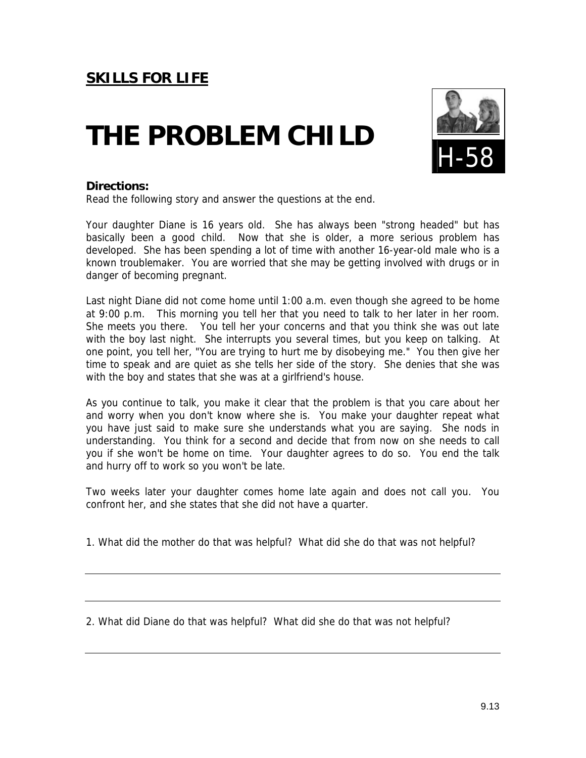## **THE PROBLEM CHILD**



### **Directions:**

Read the following story and answer the questions at the end.

Your daughter Diane is 16 years old. She has always been "strong headed" but has basically been a good child. Now that she is older, a more serious problem has developed. She has been spending a lot of time with another 16-year-old male who is a known troublemaker. You are worried that she may be getting involved with drugs or in danger of becoming pregnant.

Last night Diane did not come home until 1:00 a.m. even though she agreed to be home at 9:00 p.m. This morning you tell her that you need to talk to her later in her room. She meets you there. You tell her your concerns and that you think she was out late with the boy last night. She interrupts you several times, but you keep on talking. At one point, you tell her, "You are trying to hurt me by disobeying me." You then give her time to speak and are quiet as she tells her side of the story. She denies that she was with the boy and states that she was at a girlfriend's house.

As you continue to talk, you make it clear that the problem is that you care about her and worry when you don't know where she is. You make your daughter repeat what you have just said to make sure she understands what you are saying. She nods in understanding. You think for a second and decide that from now on she needs to call you if she won't be home on time. Your daughter agrees to do so. You end the talk and hurry off to work so you won't be late.

Two weeks later your daughter comes home late again and does not call you. You confront her, and she states that she did not have a quarter.

1. What did the mother do that was helpful? What did she do that was not helpful?

2. What did Diane do that was helpful? What did she do that was not helpful?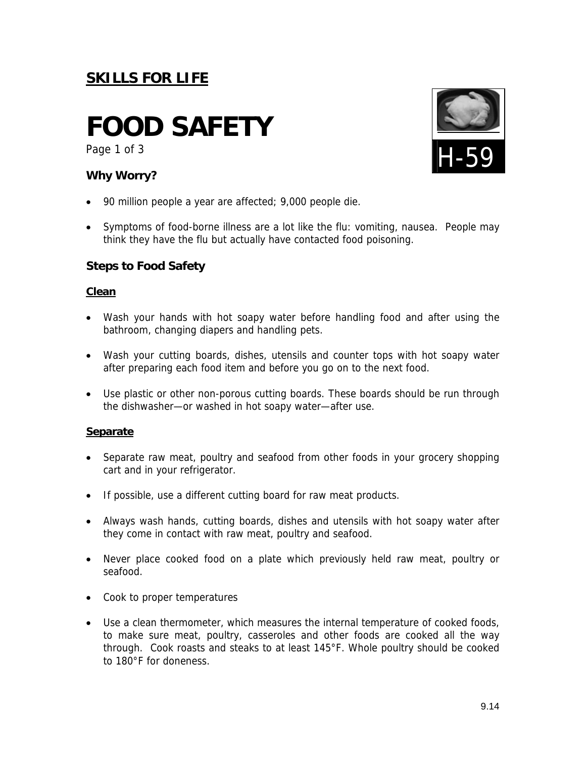## **FOOD SAFETY**

Page 1 of 3

### **Why Worry?**

- 90 million people a year are affected; 9,000 people die.
- Symptoms of food-borne illness are a lot like the flu: vomiting, nausea. People may think they have the flu but actually have contacted food poisoning.

### **Steps to Food Safety**

### **Clean**

- Wash your hands with hot soapy water before handling food and after using the bathroom, changing diapers and handling pets.
- Wash your cutting boards, dishes, utensils and counter tops with hot soapy water after preparing each food item and before you go on to the next food.
- Use plastic or other non-porous cutting boards. These boards should be run through the dishwasher—or washed in hot soapy water—after use.

### **Separate**

- Separate raw meat, poultry and seafood from other foods in your grocery shopping cart and in your refrigerator.
- If possible, use a different cutting board for raw meat products.
- Always wash hands, cutting boards, dishes and utensils with hot soapy water after they come in contact with raw meat, poultry and seafood.
- Never place cooked food on a plate which previously held raw meat, poultry or seafood.
- Cook to proper temperatures
- Use a clean thermometer, which measures the internal temperature of cooked foods, to make sure meat, poultry, casseroles and other foods are cooked all the way through. Cook roasts and steaks to at least 145°F. Whole poultry should be cooked to 180°F for doneness.

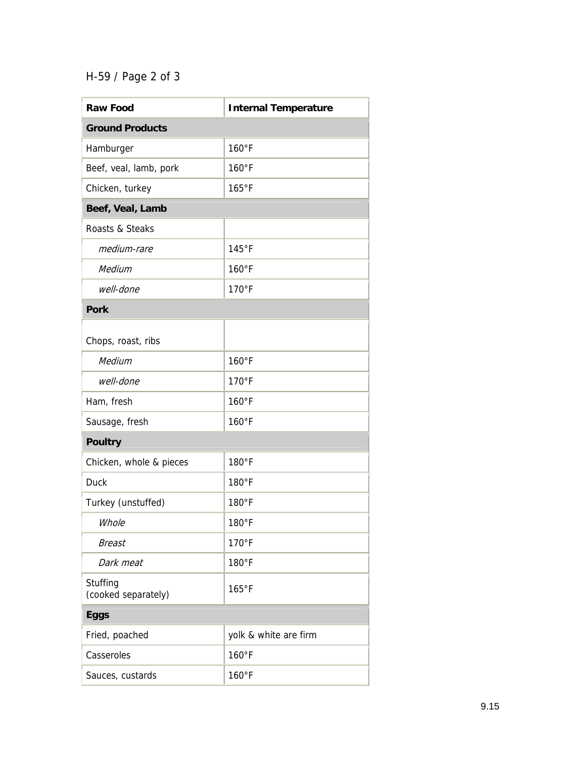## H-59 / Page 2 of 3

| <b>Raw Food</b>                 | <b>Internal Temperature</b> |  |  |  |
|---------------------------------|-----------------------------|--|--|--|
| <b>Ground Products</b>          |                             |  |  |  |
| Hamburger                       | 160°F                       |  |  |  |
| Beef, veal, lamb, pork          | 160°F                       |  |  |  |
| Chicken, turkey                 | 165°F                       |  |  |  |
| Beef, Veal, Lamb                |                             |  |  |  |
| Roasts & Steaks                 |                             |  |  |  |
| medium-rare                     | 145°F                       |  |  |  |
| Medium                          | 160°F                       |  |  |  |
| well-done                       | 170°F                       |  |  |  |
| <b>Pork</b>                     |                             |  |  |  |
| Chops, roast, ribs              |                             |  |  |  |
| Medium                          | 160°F                       |  |  |  |
| well-done                       | 170°F                       |  |  |  |
| Ham, fresh                      | 160°F                       |  |  |  |
| Sausage, fresh                  | 160°F                       |  |  |  |
| <b>Poultry</b>                  |                             |  |  |  |
| Chicken, whole & pieces         | 180°F                       |  |  |  |
| <b>Duck</b>                     | 180°F                       |  |  |  |
| Turkey (unstuffed)              | 180°F                       |  |  |  |
| Whole                           | 180°F                       |  |  |  |
| Breast                          | $170°$ F                    |  |  |  |
| Dark meat                       | 180°F                       |  |  |  |
| Stuffing<br>(cooked separately) | 165°F                       |  |  |  |
| <b>Eggs</b>                     |                             |  |  |  |
| Fried, poached                  | yolk & white are firm       |  |  |  |
| Casseroles                      | 160°F                       |  |  |  |
| Sauces, custards                | 160°F                       |  |  |  |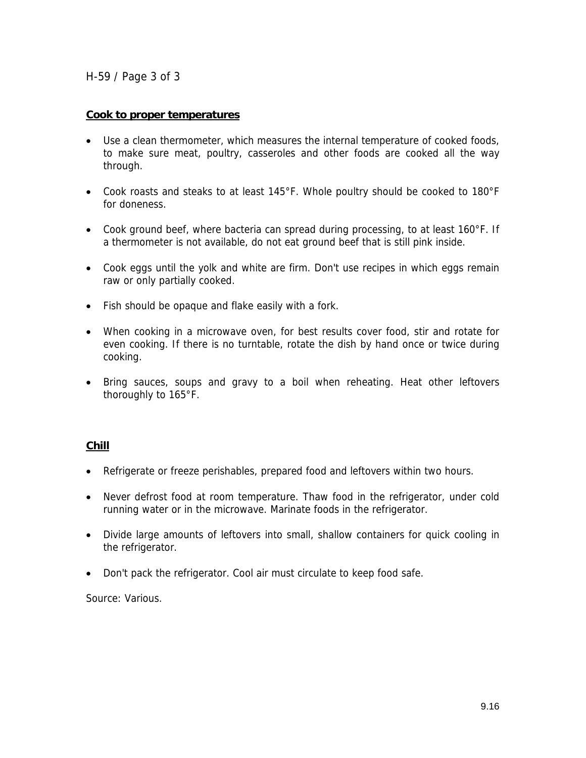H-59 / Page 3 of 3

### **Cook to proper temperatures**

- Use a clean thermometer, which measures the internal temperature of cooked foods, to make sure meat, poultry, casseroles and other foods are cooked all the way through.
- Cook roasts and steaks to at least 145°F. Whole poultry should be cooked to 180°F for doneness.
- Cook ground beef, where bacteria can spread during processing, to at least 160°F. If a thermometer is not available, do not eat ground beef that is still pink inside.
- Cook eggs until the yolk and white are firm. Don't use recipes in which eggs remain raw or only partially cooked.
- Fish should be opaque and flake easily with a fork.
- When cooking in a microwave oven, for best results cover food, stir and rotate for even cooking. If there is no turntable, rotate the dish by hand once or twice during cooking.
- Bring sauces, soups and gravy to a boil when reheating. Heat other leftovers thoroughly to 165°F.

### **Chill**

- Refrigerate or freeze perishables, prepared food and leftovers within two hours.
- Never defrost food at room temperature. Thaw food in the refrigerator, under cold running water or in the microwave. Marinate foods in the refrigerator.
- Divide large amounts of leftovers into small, shallow containers for quick cooling in the refrigerator.
- Don't pack the refrigerator. Cool air must circulate to keep food safe.

Source: Various.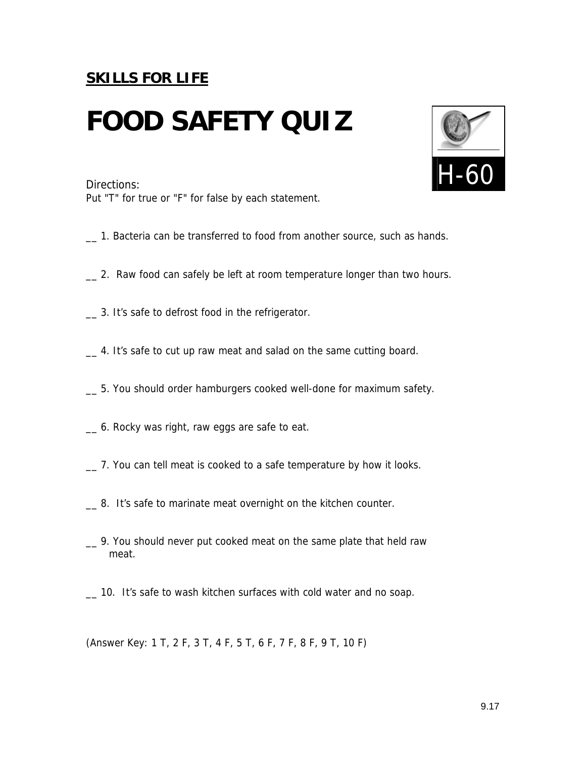## **FOOD SAFETY QUIZ**

Put "T" for true or "F" for false by each statement.

- \_\_ 1. Bacteria can be transferred to food from another source, such as hands.
- \_\_ 2. Raw food can safely be left at room temperature longer than two hours.
- \_\_ 3. It's safe to defrost food in the refrigerator.
- \_\_ 4. It's safe to cut up raw meat and salad on the same cutting board.
- \_\_ 5. You should order hamburgers cooked well-done for maximum safety.
- \_\_ 6. Rocky was right, raw eggs are safe to eat.
- \_\_ 7. You can tell meat is cooked to a safe temperature by how it looks.
- \_\_ 8. It's safe to marinate meat overnight on the kitchen counter.
- \_\_ 9. You should never put cooked meat on the same plate that held raw meat.
- \_\_ 10. It's safe to wash kitchen surfaces with cold water and no soap.

(Answer Key: 1 T, 2 F, 3 T, 4 F, 5 T, 6 F, 7 F, 8 F, 9 T, 10 F)